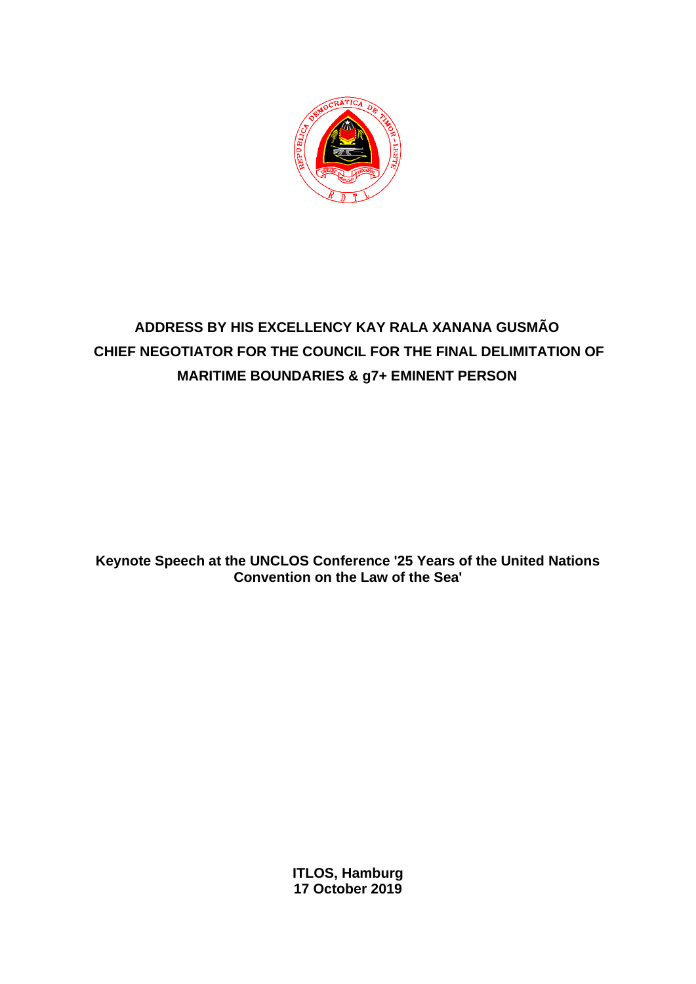

## **ADDRESS BY HIS EXCELLENCY KAY RALA XANANA GUSMÃO CHIEF NEGOTIATOR FOR THE COUNCIL FOR THE FINAL DELIMITATION OF MARITIME BOUNDARIES & g7+ EMINENT PERSON**

**Keynote Speech at the UNCLOS Conference '25 Years of the United Nations Convention on the Law of the Sea'**

> **ITLOS, Hamburg 17 October 2019**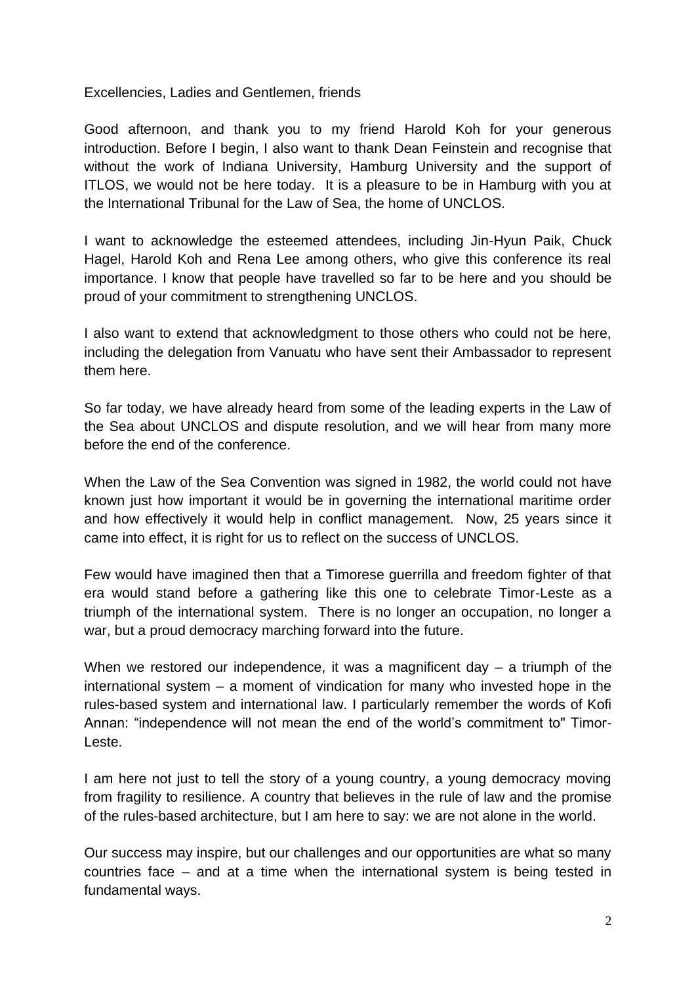Excellencies, Ladies and Gentlemen, friends

Good afternoon, and thank you to my friend Harold Koh for your generous introduction. Before I begin, I also want to thank Dean Feinstein and recognise that without the work of Indiana University, Hamburg University and the support of ITLOS, we would not be here today. It is a pleasure to be in Hamburg with you at the International Tribunal for the Law of Sea, the home of UNCLOS.

I want to acknowledge the esteemed attendees, including Jin-Hyun Paik, Chuck Hagel, Harold Koh and Rena Lee among others, who give this conference its real importance. I know that people have travelled so far to be here and you should be proud of your commitment to strengthening UNCLOS.

I also want to extend that acknowledgment to those others who could not be here, including the delegation from Vanuatu who have sent their Ambassador to represent them here.

So far today, we have already heard from some of the leading experts in the Law of the Sea about UNCLOS and dispute resolution, and we will hear from many more before the end of the conference.

When the Law of the Sea Convention was signed in 1982, the world could not have known just how important it would be in governing the international maritime order and how effectively it would help in conflict management. Now, 25 years since it came into effect, it is right for us to reflect on the success of UNCLOS.

Few would have imagined then that a Timorese guerrilla and freedom fighter of that era would stand before a gathering like this one to celebrate Timor-Leste as a triumph of the international system. There is no longer an occupation, no longer a war, but a proud democracy marching forward into the future.

When we restored our independence, it was a magnificent day  $-$  a triumph of the international system – a moment of vindication for many who invested hope in the rules-based system and international law. I particularly remember the words of Kofi Annan: "independence will not mean the end of the world's commitment to" Timor-Leste.

I am here not just to tell the story of a young country, a young democracy moving from fragility to resilience. A country that believes in the rule of law and the promise of the rules-based architecture, but I am here to say: we are not alone in the world.

Our success may inspire, but our challenges and our opportunities are what so many countries face – and at a time when the international system is being tested in fundamental ways.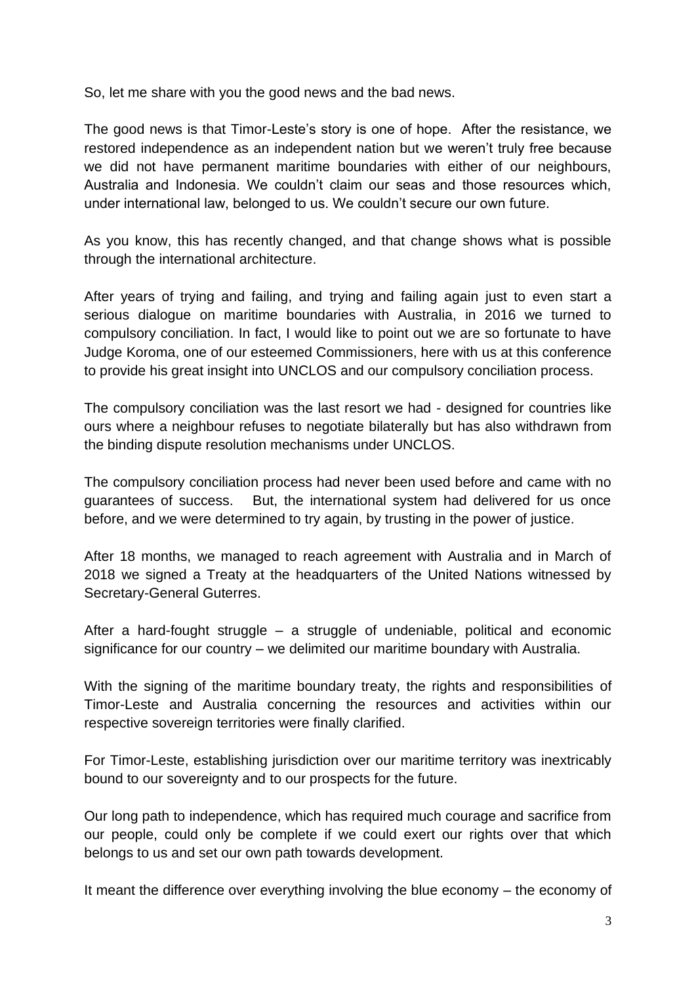So, let me share with you the good news and the bad news.

The good news is that Timor-Leste's story is one of hope. After the resistance, we restored independence as an independent nation but we weren't truly free because we did not have permanent maritime boundaries with either of our neighbours, Australia and Indonesia. We couldn't claim our seas and those resources which, under international law, belonged to us. We couldn't secure our own future.

As you know, this has recently changed, and that change shows what is possible through the international architecture.

After years of trying and failing, and trying and failing again just to even start a serious dialogue on maritime boundaries with Australia, in 2016 we turned to compulsory conciliation. In fact, I would like to point out we are so fortunate to have Judge Koroma, one of our esteemed Commissioners, here with us at this conference to provide his great insight into UNCLOS and our compulsory conciliation process.

The compulsory conciliation was the last resort we had - designed for countries like ours where a neighbour refuses to negotiate bilaterally but has also withdrawn from the binding dispute resolution mechanisms under UNCLOS.

The compulsory conciliation process had never been used before and came with no guarantees of success. But, the international system had delivered for us once before, and we were determined to try again, by trusting in the power of justice.

After 18 months, we managed to reach agreement with Australia and in March of 2018 we signed a Treaty at the headquarters of the United Nations witnessed by Secretary-General Guterres.

After a hard-fought struggle – a struggle of undeniable, political and economic significance for our country – we delimited our maritime boundary with Australia.

With the signing of the maritime boundary treaty, the rights and responsibilities of Timor-Leste and Australia concerning the resources and activities within our respective sovereign territories were finally clarified.

For Timor-Leste, establishing jurisdiction over our maritime territory was inextricably bound to our sovereignty and to our prospects for the future.

Our long path to independence, which has required much courage and sacrifice from our people, could only be complete if we could exert our rights over that which belongs to us and set our own path towards development.

It meant the difference over everything involving the blue economy – the economy of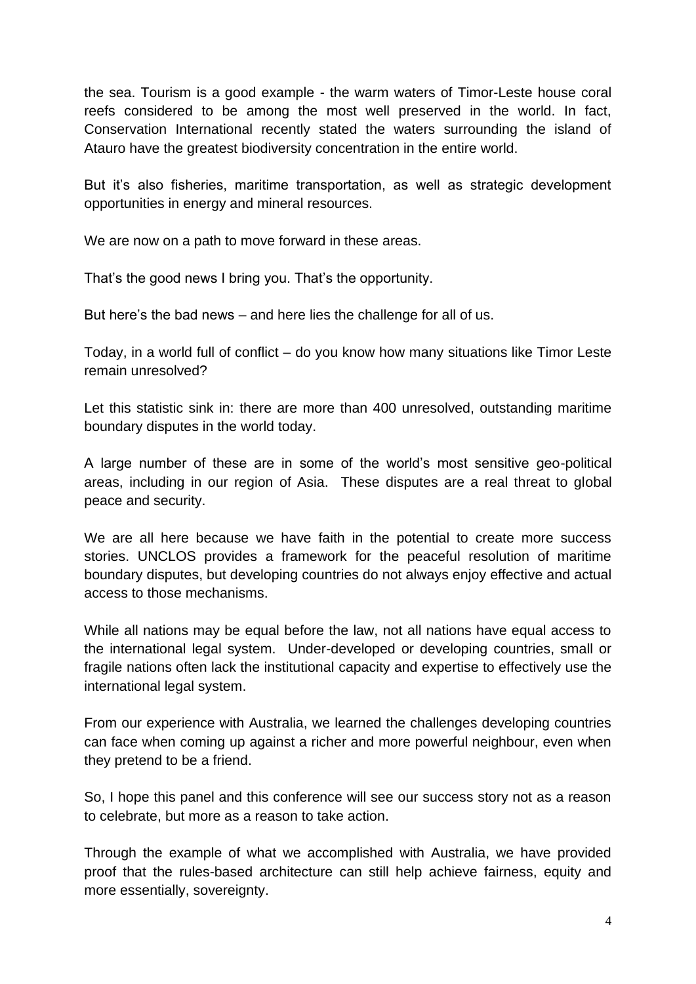the sea. Tourism is a good example - the warm waters of Timor-Leste house coral reefs considered to be among the most well preserved in the world. In fact, Conservation International recently stated the waters surrounding the island of Atauro have the greatest biodiversity concentration in the entire world.

But it's also fisheries, maritime transportation, as well as strategic development opportunities in energy and mineral resources.

We are now on a path to move forward in these areas.

That's the good news I bring you. That's the opportunity.

But here's the bad news – and here lies the challenge for all of us.

Today, in a world full of conflict – do you know how many situations like Timor Leste remain unresolved?

Let this statistic sink in: there are more than 400 unresolved, outstanding maritime boundary disputes in the world today.

A large number of these are in some of the world's most sensitive geo-political areas, including in our region of Asia. These disputes are a real threat to global peace and security.

We are all here because we have faith in the potential to create more success stories. UNCLOS provides a framework for the peaceful resolution of maritime boundary disputes, but developing countries do not always enjoy effective and actual access to those mechanisms.

While all nations may be equal before the law, not all nations have equal access to the international legal system. Under-developed or developing countries, small or fragile nations often lack the institutional capacity and expertise to effectively use the international legal system.

From our experience with Australia, we learned the challenges developing countries can face when coming up against a richer and more powerful neighbour, even when they pretend to be a friend.

So, I hope this panel and this conference will see our success story not as a reason to celebrate, but more as a reason to take action.

Through the example of what we accomplished with Australia, we have provided proof that the rules-based architecture can still help achieve fairness, equity and more essentially, sovereignty.